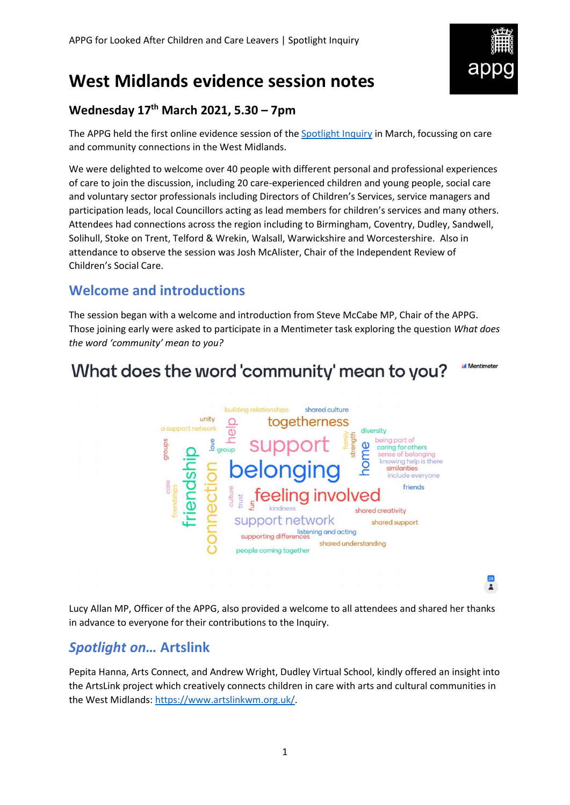

# **West Midlands evidence session notes**

### **Wednesday 17th March 2021, 5.30 – 7pm**

The APPG held the first online evidence session of the [Spotlight Inquiry](https://becomecharity.org.uk/improving-the-care-system/appg/spotlight-inquiry/) in March, focussing on care and community connections in the West Midlands.

We were delighted to welcome over 40 people with different personal and professional experiences of care to join the discussion, including 20 care-experienced children and young people, social care and voluntary sector professionals including Directors of Children's Services, service managers and participation leads, local Councillors acting as lead members for children's services and many others. Attendees had connections across the region including to Birmingham, Coventry, Dudley, Sandwell, Solihull, Stoke on Trent, Telford & Wrekin, Walsall, Warwickshire and Worcestershire. Also in attendance to observe the session was Josh McAlister, Chair of the Independent Review of Children's Social Care.

# **Welcome and introductions**

The session began with a welcome and introduction from Steve McCabe MP, Chair of the APPG. Those joining early were asked to participate in a Mentimeter task exploring the question *What does the word 'community' mean to you?*



Lucy Allan MP, Officer of the APPG, also provided a welcome to all attendees and shared her thanks in advance to everyone for their contributions to the Inquiry.

# *Spotlight on…* **Artslink**

Pepita Hanna, Arts Connect, and Andrew Wright, Dudley Virtual School, kindly offered an insight into the ArtsLink project which creatively connects children in care with arts and cultural communities in the West Midlands: [https://www.artslinkwm.org.uk/.](https://www.artslinkwm.org.uk/)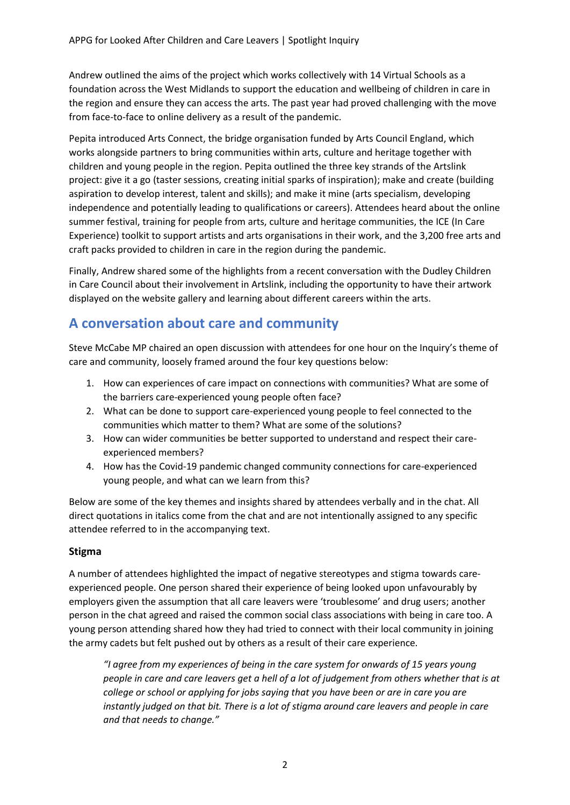Andrew outlined the aims of the project which works collectively with 14 Virtual Schools as a foundation across the West Midlands to support the education and wellbeing of children in care in the region and ensure they can access the arts. The past year had proved challenging with the move from face-to-face to online delivery as a result of the pandemic.

Pepita introduced Arts Connect, the bridge organisation funded by Arts Council England, which works alongside partners to bring communities within arts, culture and heritage together with children and young people in the region. Pepita outlined the three key strands of the Artslink project: give it a go (taster sessions, creating initial sparks of inspiration); make and create (building aspiration to develop interest, talent and skills); and make it mine (arts specialism, developing independence and potentially leading to qualifications or careers). Attendees heard about the online summer festival, training for people from arts, culture and heritage communities, the ICE (In Care Experience) toolkit to support artists and arts organisations in their work, and the 3,200 free arts and craft packs provided to children in care in the region during the pandemic.

Finally, Andrew shared some of the highlights from a recent conversation with the Dudley Children in Care Council about their involvement in Artslink, including the opportunity to have their artwork displayed on the website gallery and learning about different careers within the arts.

# **A conversation about care and community**

Steve McCabe MP chaired an open discussion with attendees for one hour on the Inquiry's theme of care and community, loosely framed around the four key questions below:

- 1. How can experiences of care impact on connections with communities? What are some of the barriers care-experienced young people often face?
- 2. What can be done to support care-experienced young people to feel connected to the communities which matter to them? What are some of the solutions?
- 3. How can wider communities be better supported to understand and respect their careexperienced members?
- 4. How has the Covid-19 pandemic changed community connections for care-experienced young people, and what can we learn from this?

Below are some of the key themes and insights shared by attendees verbally and in the chat. All direct quotations in italics come from the chat and are not intentionally assigned to any specific attendee referred to in the accompanying text.

### **Stigma**

A number of attendees highlighted the impact of negative stereotypes and stigma towards careexperienced people. One person shared their experience of being looked upon unfavourably by employers given the assumption that all care leavers were 'troublesome' and drug users; another person in the chat agreed and raised the common social class associations with being in care too. A young person attending shared how they had tried to connect with their local community in joining the army cadets but felt pushed out by others as a result of their care experience.

*"I agree from my experiences of being in the care system for onwards of 15 years young people in care and care leavers get a hell of a lot of judgement from others whether that is at college or school or applying for jobs saying that you have been or are in care you are instantly judged on that bit. There is a lot of stigma around care leavers and people in care and that needs to change."*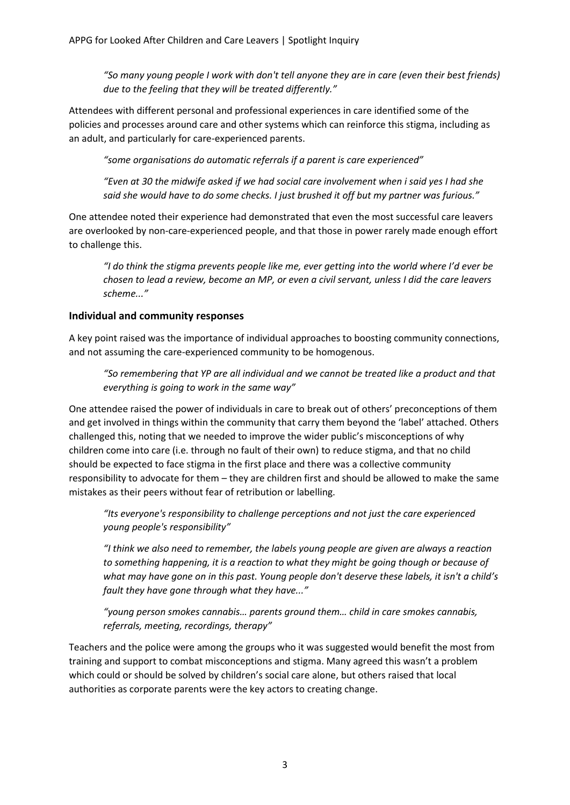*"So many young people I work with don't tell anyone they are in care (even their best friends) due to the feeling that they will be treated differently."*

Attendees with different personal and professional experiences in care identified some of the policies and processes around care and other systems which can reinforce this stigma, including as an adult, and particularly for care-experienced parents.

*"some organisations do automatic referrals if a parent is care experienced"*

*"Even at 30 the midwife asked if we had social care involvement when i said yes I had she said she would have to do some checks. I just brushed it off but my partner was furious."*

One attendee noted their experience had demonstrated that even the most successful care leavers are overlooked by non-care-experienced people, and that those in power rarely made enough effort to challenge this.

*"I do think the stigma prevents people like me, ever getting into the world where I'd ever be chosen to lead a review, become an MP, or even a civil servant, unless I did the care leavers scheme..."*

#### **Individual and community responses**

A key point raised was the importance of individual approaches to boosting community connections, and not assuming the care-experienced community to be homogenous.

*"So remembering that YP are all individual and we cannot be treated like a product and that everything is going to work in the same way"*

One attendee raised the power of individuals in care to break out of others' preconceptions of them and get involved in things within the community that carry them beyond the 'label' attached. Others challenged this, noting that we needed to improve the wider public's misconceptions of why children come into care (i.e. through no fault of their own) to reduce stigma, and that no child should be expected to face stigma in the first place and there was a collective community responsibility to advocate for them – they are children first and should be allowed to make the same mistakes as their peers without fear of retribution or labelling.

*"Its everyone's responsibility to challenge perceptions and not just the care experienced young people's responsibility"*

*"I think we also need to remember, the labels young people are given are always a reaction to something happening, it is a reaction to what they might be going though or because of what may have gone on in this past. Young people don't deserve these labels, it isn't a child's fault they have gone through what they have..."*

*"young person smokes cannabis… parents ground them… child in care smokes cannabis, referrals, meeting, recordings, therapy"*

Teachers and the police were among the groups who it was suggested would benefit the most from training and support to combat misconceptions and stigma. Many agreed this wasn't a problem which could or should be solved by children's social care alone, but others raised that local authorities as corporate parents were the key actors to creating change.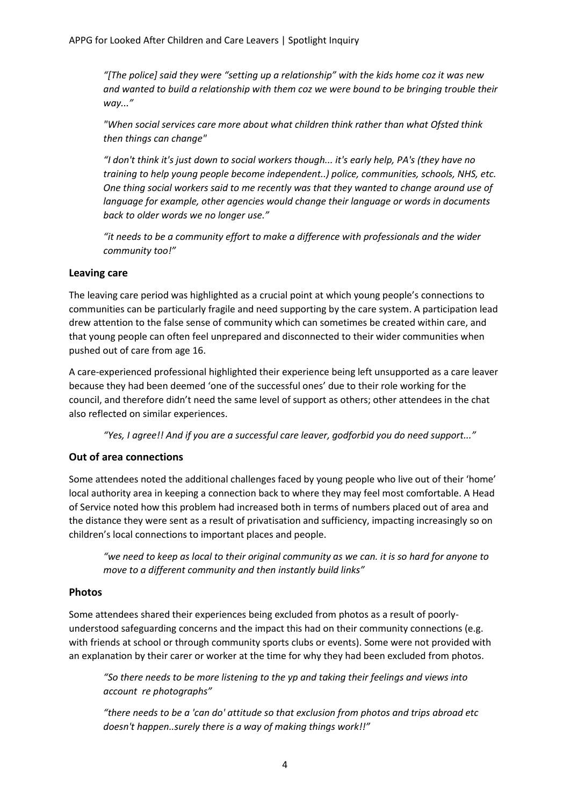*"[The police] said they were "setting up a relationship" with the kids home coz it was new and wanted to build a relationship with them coz we were bound to be bringing trouble their way..."*

*"When social services care more about what children think rather than what Ofsted think then things can change"*

*"I don't think it's just down to social workers though... it's early help, PA's (they have no training to help young people become independent..) police, communities, schools, NHS, etc. One thing social workers said to me recently was that they wanted to change around use of language for example, other agencies would change their language or words in documents back to older words we no longer use."*

*"it needs to be a community effort to make a difference with professionals and the wider community too!"*

#### **Leaving care**

The leaving care period was highlighted as a crucial point at which young people's connections to communities can be particularly fragile and need supporting by the care system. A participation lead drew attention to the false sense of community which can sometimes be created within care, and that young people can often feel unprepared and disconnected to their wider communities when pushed out of care from age 16.

A care-experienced professional highlighted their experience being left unsupported as a care leaver because they had been deemed 'one of the successful ones' due to their role working for the council, and therefore didn't need the same level of support as others; other attendees in the chat also reflected on similar experiences.

*"Yes, I agree!! And if you are a successful care leaver, godforbid you do need support..."*

### **Out of area connections**

Some attendees noted the additional challenges faced by young people who live out of their 'home' local authority area in keeping a connection back to where they may feel most comfortable. A Head of Service noted how this problem had increased both in terms of numbers placed out of area and the distance they were sent as a result of privatisation and sufficiency, impacting increasingly so on children's local connections to important places and people.

*"we need to keep as local to their original community as we can. it is so hard for anyone to move to a different community and then instantly build links"*

#### **Photos**

Some attendees shared their experiences being excluded from photos as a result of poorlyunderstood safeguarding concerns and the impact this had on their community connections (e.g. with friends at school or through community sports clubs or events). Some were not provided with an explanation by their carer or worker at the time for why they had been excluded from photos.

*"So there needs to be more listening to the yp and taking their feelings and views into account re photographs"*

*"there needs to be a 'can do' attitude so that exclusion from photos and trips abroad etc doesn't happen..surely there is a way of making things work!!"*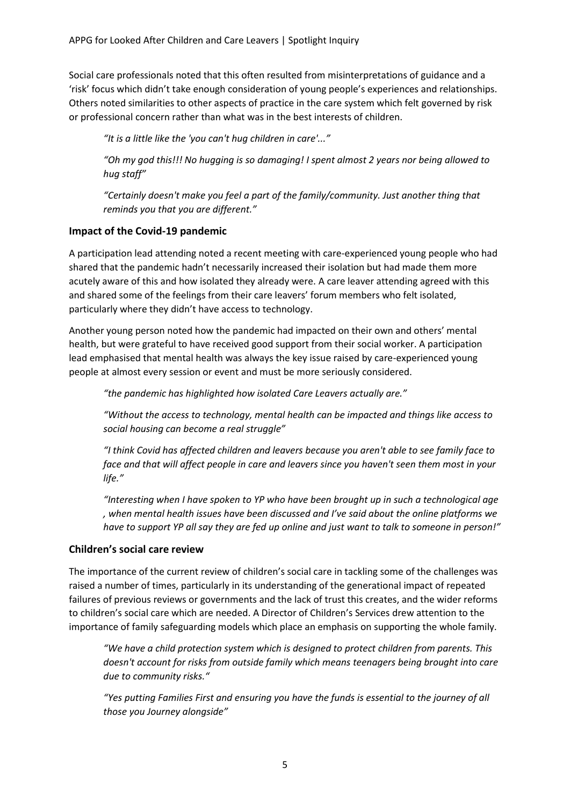Social care professionals noted that this often resulted from misinterpretations of guidance and a 'risk' focus which didn't take enough consideration of young people's experiences and relationships. Others noted similarities to other aspects of practice in the care system which felt governed by risk or professional concern rather than what was in the best interests of children.

*"It is a little like the 'you can't hug children in care'..."*

*"Oh my god this!!! No hugging is so damaging! I spent almost 2 years nor being allowed to hug staff"*

*"Certainly doesn't make you feel a part of the family/community. Just another thing that reminds you that you are different."*

#### **Impact of the Covid-19 pandemic**

A participation lead attending noted a recent meeting with care-experienced young people who had shared that the pandemic hadn't necessarily increased their isolation but had made them more acutely aware of this and how isolated they already were. A care leaver attending agreed with this and shared some of the feelings from their care leavers' forum members who felt isolated, particularly where they didn't have access to technology.

Another young person noted how the pandemic had impacted on their own and others' mental health, but were grateful to have received good support from their social worker. A participation lead emphasised that mental health was always the key issue raised by care-experienced young people at almost every session or event and must be more seriously considered.

*"the pandemic has highlighted how isolated Care Leavers actually are."*

*"Without the access to technology, mental health can be impacted and things like access to social housing can become a real struggle"*

*"I think Covid has affected children and leavers because you aren't able to see family face to face and that will affect people in care and leavers since you haven't seen them most in your life."*

*"Interesting when I have spoken to YP who have been brought up in such a technological age , when mental health issues have been discussed and I've said about the online platforms we have to support YP all say they are fed up online and just want to talk to someone in person!"*

### **Children's social care review**

The importance of the current review of children's social care in tackling some of the challenges was raised a number of times, particularly in its understanding of the generational impact of repeated failures of previous reviews or governments and the lack of trust this creates, and the wider reforms to children's social care which are needed. A Director of Children's Services drew attention to the importance of family safeguarding models which place an emphasis on supporting the whole family.

*"We have a child protection system which is designed to protect children from parents. This doesn't account for risks from outside family which means teenagers being brought into care due to community risks."*

*"Yes putting Families First and ensuring you have the funds is essential to the journey of all those you Journey alongside"*